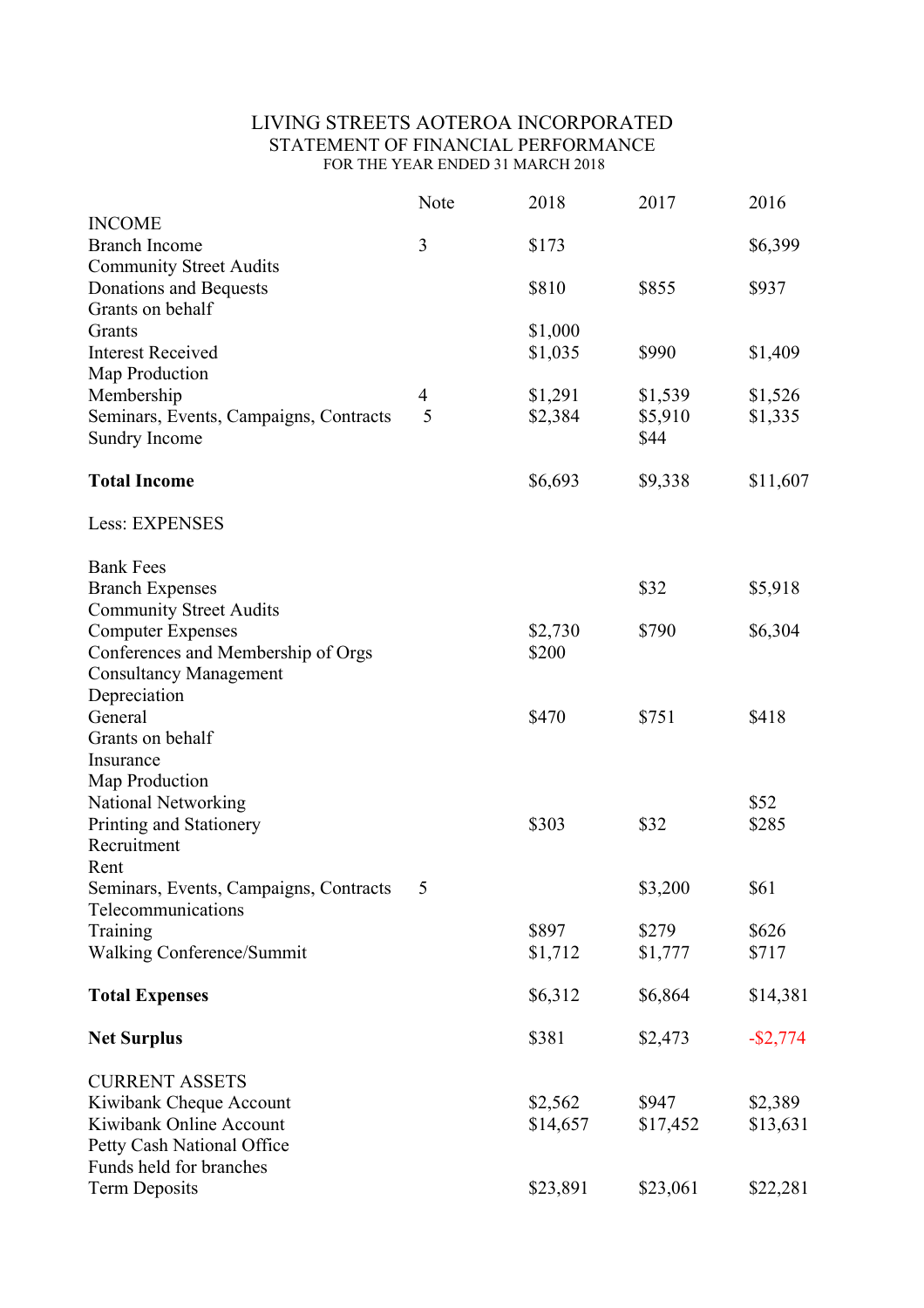# LIVING STREETS AOTEROA INCORPORATED STATEMENT OF FINANCIAL PERFORMANCE FOR THE YEAR ENDED 31 MARCH 2018

|                                        | Note           | 2018     | 2017     | 2016        |
|----------------------------------------|----------------|----------|----------|-------------|
| <b>INCOME</b>                          |                |          |          |             |
| <b>Branch Income</b>                   | 3              | \$173    |          | \$6,399     |
| <b>Community Street Audits</b>         |                |          |          |             |
| Donations and Bequests                 |                | \$810    | \$855    | \$937       |
| Grants on behalf<br>Grants             |                | \$1,000  |          |             |
| <b>Interest Received</b>               |                | \$1,035  | \$990    | \$1,409     |
| Map Production                         |                |          |          |             |
| Membership                             | $\overline{4}$ | \$1,291  | \$1,539  | \$1,526     |
| Seminars, Events, Campaigns, Contracts | 5              | \$2,384  | \$5,910  | \$1,335     |
| Sundry Income                          |                |          | \$44     |             |
| <b>Total Income</b>                    |                | \$6,693  | \$9,338  | \$11,607    |
| Less: EXPENSES                         |                |          |          |             |
| <b>Bank Fees</b>                       |                |          |          |             |
| <b>Branch Expenses</b>                 |                |          | \$32     | \$5,918     |
| <b>Community Street Audits</b>         |                |          |          |             |
| <b>Computer Expenses</b>               |                | \$2,730  | \$790    | \$6,304     |
| Conferences and Membership of Orgs     |                | \$200    |          |             |
| <b>Consultancy Management</b>          |                |          |          |             |
| Depreciation                           |                |          |          |             |
| General                                |                | \$470    | \$751    | \$418       |
| Grants on behalf<br>Insurance          |                |          |          |             |
| Map Production                         |                |          |          |             |
| <b>National Networking</b>             |                |          |          | \$52        |
| Printing and Stationery                |                | \$303    | \$32     | \$285       |
| Recruitment                            |                |          |          |             |
| Rent                                   |                |          |          |             |
| Seminars, Events, Campaigns, Contracts |                |          | \$3,200  | \$61        |
| Telecommunications                     |                |          |          |             |
| Training                               |                | \$897    | \$279    | \$626       |
| Walking Conference/Summit              |                | \$1,712  | \$1,777  | \$717       |
| <b>Total Expenses</b>                  |                | \$6,312  | \$6,864  | \$14,381    |
| <b>Net Surplus</b>                     |                | \$381    | \$2,473  | $-$ \$2,774 |
| <b>CURRENT ASSETS</b>                  |                |          |          |             |
| Kiwibank Cheque Account                |                | \$2,562  | \$947    | \$2,389     |
| Kiwibank Online Account                |                | \$14,657 | \$17,452 | \$13,631    |
| Petty Cash National Office             |                |          |          |             |
| Funds held for branches                |                |          |          |             |
| <b>Term Deposits</b>                   |                | \$23,891 | \$23,061 | \$22,281    |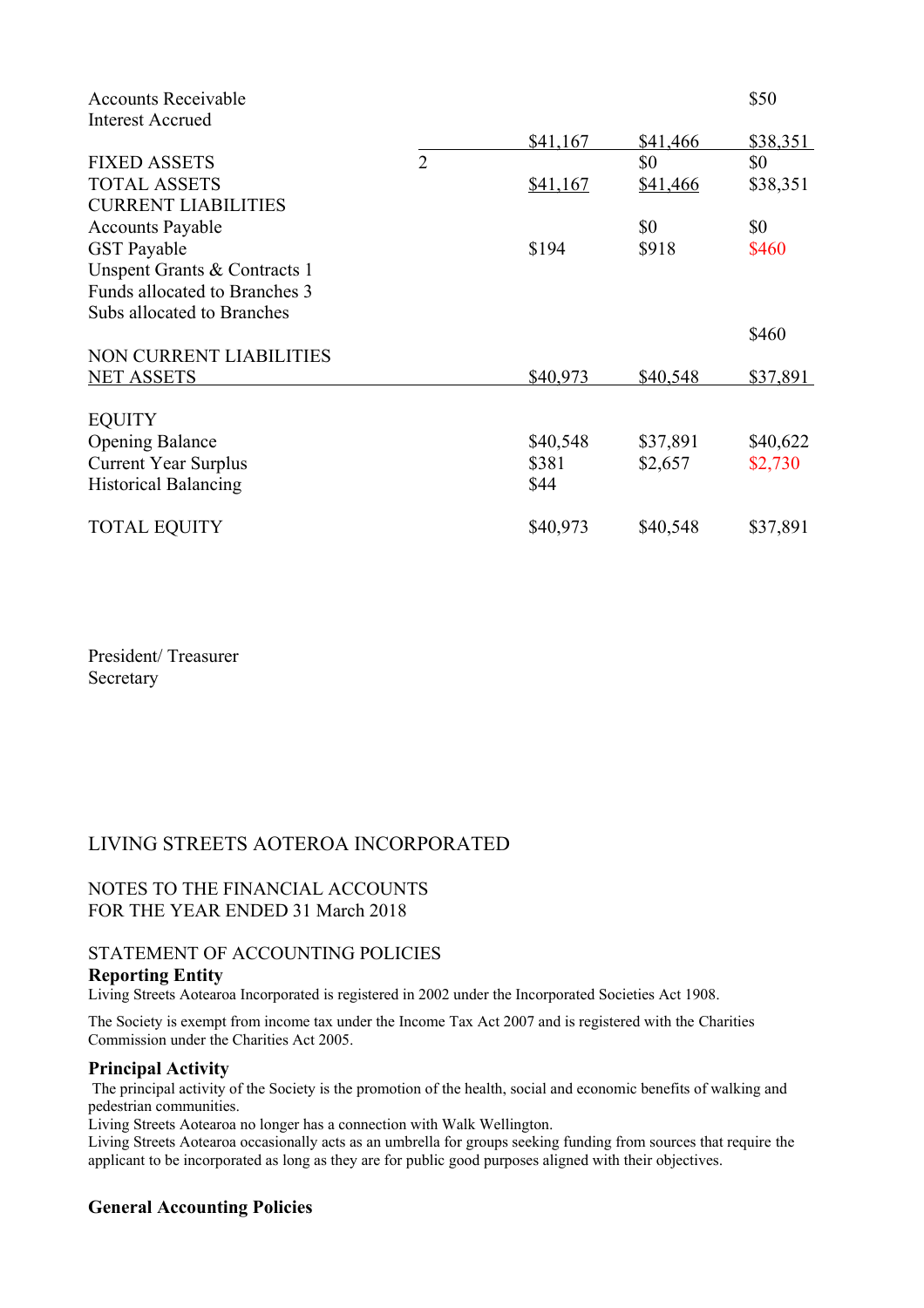| <b>Accounts Receivable</b>     |                |          |          | \$50     |
|--------------------------------|----------------|----------|----------|----------|
| <b>Interest Accrued</b>        |                |          |          |          |
|                                |                | \$41,167 | \$41,466 | \$38,351 |
| <b>FIXED ASSETS</b>            | $\overline{2}$ |          | \$0      | \$0      |
| <b>TOTAL ASSETS</b>            |                | \$41,167 | \$41,466 | \$38,351 |
| <b>CURRENT LIABILITIES</b>     |                |          |          |          |
| <b>Accounts Payable</b>        |                |          | \$0      | \$0      |
| <b>GST</b> Payable             |                | \$194    | \$918    | \$460    |
| Unspent Grants & Contracts 1   |                |          |          |          |
| Funds allocated to Branches 3  |                |          |          |          |
| Subs allocated to Branches     |                |          |          |          |
|                                |                |          |          | \$460    |
| <b>NON CURRENT LIABILITIES</b> |                |          |          |          |
| <b>NET ASSETS</b>              |                | \$40,973 | \$40,548 | \$37,891 |
| <b>EQUITY</b>                  |                |          |          |          |
| <b>Opening Balance</b>         |                | \$40,548 | \$37,891 | \$40,622 |
| <b>Current Year Surplus</b>    |                | \$381    | \$2,657  | \$2,730  |
| <b>Historical Balancing</b>    |                | \$44     |          |          |
| <b>TOTAL EQUITY</b>            |                | \$40,973 | \$40,548 | \$37,891 |

President/ Treasurer Secretary

## LIVING STREETS AOTEROA INCORPORATED

## NOTES TO THE FINANCIAL ACCOUNTS FOR THE YEAR ENDED 31 March 2018

## STATEMENT OF ACCOUNTING POLICIES

#### **Reporting Entity**

Living Streets Aotearoa Incorporated is registered in 2002 under the Incorporated Societies Act 1908.

The Society is exempt from income tax under the Income Tax Act 2007 and is registered with the Charities Commission under the Charities Act 2005.

#### **Principal Activity**

The principal activity of the Society is the promotion of the health, social and economic benefits of walking and pedestrian communities.

Living Streets Aotearoa no longer has a connection with Walk Wellington.

Living Streets Aotearoa occasionally acts as an umbrella for groups seeking funding from sources that require the applicant to be incorporated as long as they are for public good purposes aligned with their objectives.

## **General Accounting Policies**